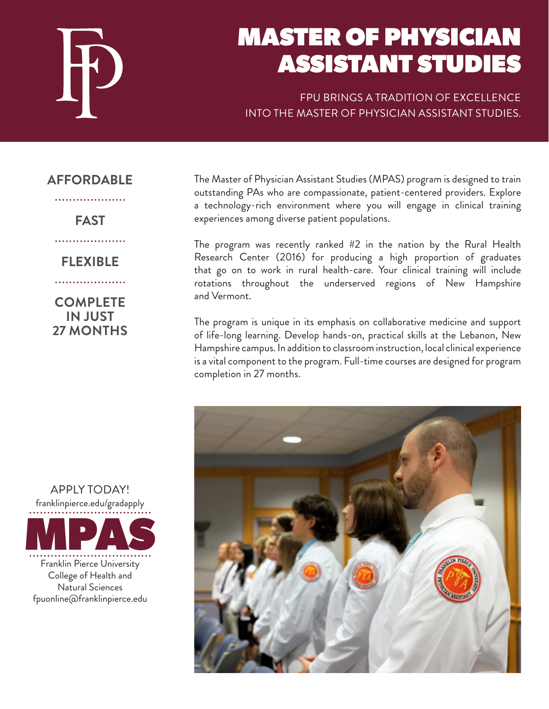

# MASTER OF PHYSICIAN ASSISTANT STUDIES

FPU BRINGS A TRADITION OF EXCELLENCE INTO THE MASTER OF PHYSICIAN ASSISTANT STUDIES.

### **AFFORDABLE**

. . . . . . . . . . . . . . . . .

## **FAST**

....................

# **FLEXIBLE**

. . . . . . . . . . . . . . . . . . . .

**COMPLETE IN JUST 27 MONTHS** The Master of Physician Assistant Studies (MPAS) program is designed to train outstanding PAs who are compassionate, patient-centered providers. Explore a technology-rich environment where you will engage in clinical training experiences among diverse patient populations.

The program was recently ranked #2 in the nation by the Rural Health Research Center (2016) for producing a high proportion of graduates that go on to work in rural health-care. Your clinical training will include rotations throughout the underserved regions of New Hampshire and Vermont.

The program is unique in its emphasis on collaborative medicine and support of life-long learning. Develop hands-on, practical skills at the Lebanon, New Hampshire campus. In addition to classroom instruction, local clinical experience is a vital component to the program. Full-time courses are designed for program completion in 27 months.



Franklin Pierce University College of Health and Natural Sciences fpuonline@franklinpierce.edu franklinpierce.edu/gradapply MPAS

APPLY TODAY!